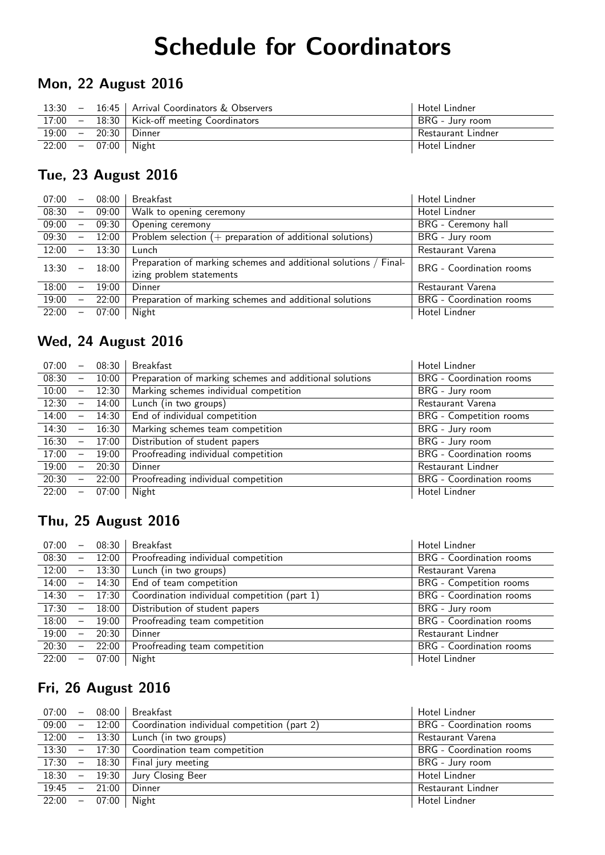# Schedule for Coordinators

### Mon, 22 August 2016

| $13:30 -$ |                       | 16:45   Arrival Coordinators & Observers      | Hotel Lindner      |
|-----------|-----------------------|-----------------------------------------------|--------------------|
|           |                       | 17:00 - 18:30   Kick-off meeting Coordinators | BRG - Jury room    |
|           |                       | $19:00 - 20:30$ Dinner                        | Restaurant Lindner |
|           | $22:00 - 07:00$ Night |                                               | Hotel Lindner      |

#### Tue, 23 August 2016

| 07:00 | $\overline{\phantom{m}}$ | 08:00 | <b>Breakfast</b>                                                                             | Hotel Lindner            |
|-------|--------------------------|-------|----------------------------------------------------------------------------------------------|--------------------------|
| 08:30 | $\overline{\phantom{m}}$ | 09:00 | Walk to opening ceremony                                                                     | Hotel Lindner            |
| 09:00 | $\overline{\phantom{m}}$ | 09:30 | Opening ceremony                                                                             | BRG - Ceremony hall      |
| 09:30 | $\overline{\phantom{m}}$ | 12:00 | Problem selection $(+)$ preparation of additional solutions)                                 | BRG - Jury room          |
| 12:00 | $\overline{\phantom{m}}$ | 13:30 | Lunch                                                                                        | Restaurant Varena        |
| 13:30 | $\equiv$                 | 18:00 | Preparation of marking schemes and additional solutions / Final-<br>izing problem statements | BRG - Coordination rooms |
| 18:00 | $\overline{\phantom{0}}$ | 19:00 | Dinner                                                                                       | Restaurant Varena        |
| 19:00 | $\overline{\phantom{m}}$ | 22:00 | Preparation of marking schemes and additional solutions                                      | BRG - Coordination rooms |
| 22:00 | $\overline{\phantom{0}}$ | 07:00 | Night                                                                                        | Hotel Lindner            |

#### Wed, 24 August 2016

| 07:00 | $\overline{\phantom{0}}$ | 08:30 | <b>Breakfast</b>                                        | Hotel Lindner            |
|-------|--------------------------|-------|---------------------------------------------------------|--------------------------|
| 08:30 | $\overline{\phantom{m}}$ | 10:00 | Preparation of marking schemes and additional solutions | BRG - Coordination rooms |
| 10:00 | $\qquad \qquad -$        | 12:30 | Marking schemes individual competition                  | BRG - Jury room          |
| 12:30 | $\overline{\phantom{m}}$ | 14:00 | Lunch (in two groups)                                   | Restaurant Varena        |
| 14:00 | $\overline{\phantom{m}}$ | 14:30 | End of individual competition                           | BRG - Competition rooms  |
| 14:30 | $-$                      | 16:30 | Marking schemes team competition                        | BRG - Jury room          |
| 16:30 | $\qquad \qquad -$        | 17:00 | Distribution of student papers                          | BRG - Jury room          |
| 17:00 | $\qquad \qquad -$        | 19:00 | Proofreading individual competition                     | BRG - Coordination rooms |
| 19:00 | $\qquad \qquad -$        | 20:30 | Dinner                                                  | Restaurant Lindner       |
| 20:30 | $\overline{\phantom{m}}$ | 22:00 | Proofreading individual competition                     | BRG - Coordination rooms |
| 22:00 | $\qquad \qquad -$        | 07:00 | Night                                                   | Hotel Lindner            |

## Thu, 25 August 2016

| 07:00 |                          | $-$ 08:30 | <b>Breakfast</b>                             | Hotel Lindner                   |
|-------|--------------------------|-----------|----------------------------------------------|---------------------------------|
| 08:30 |                          | $- 12:00$ | Proofreading individual competition          | BRG - Coordination rooms        |
| 12:00 | $\overline{\phantom{m}}$ | 13:30     | Lunch (in two groups)                        | Restaurant Varena               |
| 14:00 |                          | $- 14:30$ | End of team competition                      | BRG - Competition rooms         |
| 14:30 | $\sim$ $-$               | 17:30     | Coordination individual competition (part 1) | <b>BRG</b> - Coordination rooms |
| 17:30 | $\overline{\phantom{m}}$ | 18:00     | Distribution of student papers               | BRG - Jury room                 |
| 18:00 | $-$                      | 19:00     | Proofreading team competition                | <b>BRG</b> - Coordination rooms |
| 19:00 | $\overline{\phantom{m}}$ | 20:30     | Dinner                                       | Restaurant Lindner              |
| 20:30 |                          | $-22:00$  | Proofreading team competition                | BRG - Coordination rooms        |
| 22:00 | $\overline{\phantom{m}}$ | 07:00     | Night                                        | Hotel Lindner                   |

## Fri, 26 August 2016

|                 |  | $07:00 - 08:00$ Breakfast                                    | Hotel Lindner            |
|-----------------|--|--------------------------------------------------------------|--------------------------|
|                 |  | 09:00 $-$ 12:00 Coordination individual competition (part 2) | BRG - Coordination rooms |
|                 |  | $12:00 - 13:30$ Lunch (in two groups)                        | Restaurant Varena        |
|                 |  | 13:30 $-$ 17:30 Coordination team competition                | BRG - Coordination rooms |
|                 |  | $17:30 - 18:30$ Final jury meeting                           | BRG - Jury room          |
|                 |  | $18:30 - 19:30$ Jury Closing Beer                            | Hotel Lindner            |
| $19:45 - 21:00$ |  | Dinner                                                       | Restaurant Lindner       |
| $22:00 - 07:00$ |  | Night                                                        | Hotel Lindner            |